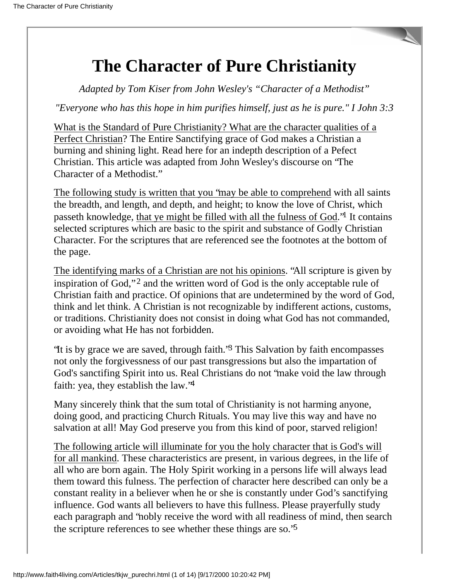# **The Character of Pure Christianity**

*Adapted by Tom Kiser from John Wesley's "Character of a Methodist"*

*"Everyone who has this hope in him purifies himself, just as he is pure." I John 3:3*

What is the Standard of Pure Christianity? What are the character qualities of a Perfect Christian? The Entire Sanctifying grace of God makes a Christian a burning and shining light. Read here for an indepth description of a Pefect Christian. This article was adapted from John Wesley's discourse on "The Character of a Methodist."

The following study is written that you "may be able to comprehend with all saints the breadth, and length, and depth, and height; to know the love of Christ, which passeth knowledge, that ye might be filled with all the fulness of God."1 It contains selected scriptures which are basic to the spirit and substance of Godly Christian Character. For the scriptures that are referenced see the footnotes at the bottom of the page.

The identifying marks of a Christian are not his opinions. "All scripture is given by inspiration of God,"<sup>2</sup> and the written word of God is the only acceptable rule of Christian faith and practice. Of opinions that are undetermined by the word of God, think and let think. A Christian is not recognizable by indifferent actions, customs, or traditions. Christianity does not consist in doing what God has not commanded, or avoiding what He has not forbidden.

"It is by grace we are saved, through faith."3 This Salvation by faith encompasses not only the forgivessness of our past transgressions but also the impartation of God's sanctifing Spirit into us. Real Christians do not "make void the law through faith: yea, they establish the law.<sup>'4</sup>

Many sincerely think that the sum total of Christianity is not harming anyone, doing good, and practicing Church Rituals. You may live this way and have no salvation at all! May God preserve you from this kind of poor, starved religion!

The following article will illuminate for you the holy character that is God's will for all mankind. These characteristics are present, in various degrees, in the life of all who are born again. The Holy Spirit working in a persons life will always lead them toward this fulness. The perfection of character here described can only be a constant reality in a believer when he or she is constantly under God's sanctifying influence. God wants all believers to have this fullness. Please prayerfully study each paragraph and "nobly receive the word with all readiness of mind, then search the scripture references to see whether these things are so."5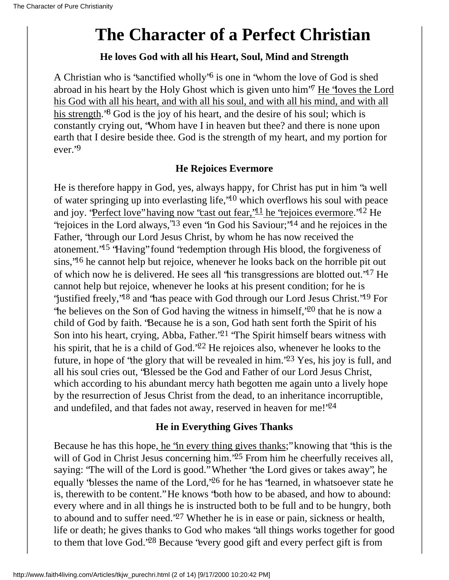# **The Character of a Perfect Christian**

#### **He loves God with all his Heart, Soul, Mind and Strength**

A Christian who is "sanctified wholly"6 is one in "whom the love of God is shed abroad in his heart by the Holy Ghost which is given unto him"7 He "loves the Lord his God with all his heart, and with all his soul, and with all his mind, and with all his strength.<sup>8</sup> God is the joy of his heart, and the desire of his soul; which is constantly crying out, "Whom have I in heaven but thee? and there is none upon earth that I desire beside thee. God is the strength of my heart, and my portion for ever."9

## **He Rejoices Evermore**

He is therefore happy in God, yes, always happy, for Christ has put in him "a well of water springing up into everlasting life,"10 which overflows his soul with peace and joy. "Perfect love" having now "cast out fear,  $11$  he "rejoices evermore." $12$  He "rejoices in the Lord always,"13 even "in God his Saviour;"14 and he rejoices in the Father, "through our Lord Jesus Christ, by whom he has now received the atonement."15 "Having" found "redemption through His blood, the forgiveness of sins,"16 he cannot help but rejoice, whenever he looks back on the horrible pit out of which now he is delivered. He sees all "his transgressions are blotted out."17 He cannot help but rejoice, whenever he looks at his present condition; for he is "justified freely,"18 and "has peace with God through our Lord Jesus Christ."19 For "he believes on the Son of God having the witness in himself,"20 that he is now a child of God by faith. "Because he is a son, God hath sent forth the Spirit of his Son into his heart, crying, Abba, Father."21 "The Spirit himself bears witness with his spirit, that he is a child of God."22 He rejoices also, whenever he looks to the future, in hope of "the glory that will be revealed in him."23 Yes, his joy is full, and all his soul cries out, "Blessed be the God and Father of our Lord Jesus Christ, which according to his abundant mercy hath begotten me again unto a lively hope by the resurrection of Jesus Christ from the dead, to an inheritance incorruptible, and undefiled, and that fades not away, reserved in heaven for me!'24

### **He in Everything Gives Thanks**

Because he has this hope, he "in every thing gives thanks;" knowing that "this is the will of God in Christ Jesus concerning him.<sup>25</sup> From him he cheerfully receives all, saying: "The will of the Lord is good." Whether "the Lord gives or takes away", he equally "blesses the name of the Lord,"26 for he has "learned, in whatsoever state he is, therewith to be content." He knows "both how to be abased, and how to abound: every where and in all things he is instructed both to be full and to be hungry, both to abound and to suffer need."27 Whether he is in ease or pain, sickness or health, life or death; he gives thanks to God who makes "all things works together for good to them that love God."28 Because "every good gift and every perfect gift is from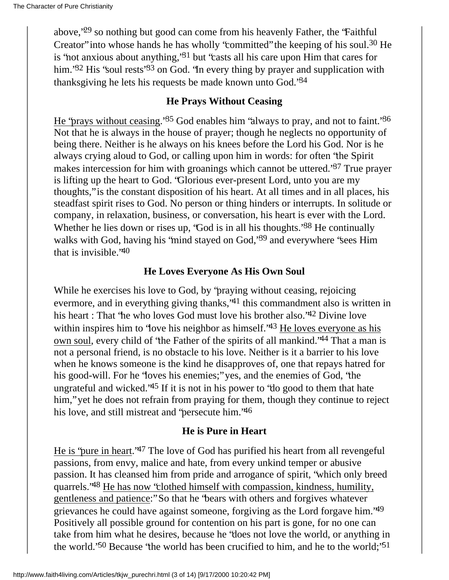above,"29 so nothing but good can come from his heavenly Father, the "Faithful Creator" into whose hands he has wholly "committed" the keeping of his soul.30 He is "not anxious about anything,"31 but "casts all his care upon Him that cares for him."<sup>32</sup> His "soul rests"<sup>33</sup> on God. "In every thing by prayer and supplication with thanksgiving he lets his requests be made known unto God.'<sup>34</sup>

### **He Prays Without Ceasing**

He "prays without ceasing."35 God enables him "always to pray, and not to faint."36 Not that he is always in the house of prayer; though he neglects no opportunity of being there. Neither is he always on his knees before the Lord his God. Nor is he always crying aloud to God, or calling upon him in words: for often "the Spirit makes intercession for him with groanings which cannot be uttered."37 True prayer is lifting up the heart to God. "Glorious ever-present Lord, unto you are my thoughts," is the constant disposition of his heart. At all times and in all places, his steadfast spirit rises to God. No person or thing hinders or interrupts. In solitude or company, in relaxation, business, or conversation, his heart is ever with the Lord. Whether he lies down or rises up, 'God is in all his thoughts.'<sup>38</sup> He continually walks with God, having his 'mind stayed on God, <sup>39</sup> and everywhere 'sees Him that is invisible."40

## **He Loves Everyone As His Own Soul**

While he exercises his love to God, by "praying without ceasing, rejoicing evermore, and in everything giving thanks,"41 this commandment also is written in his heart : That "he who loves God must love his brother also."42 Divine love within inspires him to 'love his neighbor as himself.'<sup>43</sup> He loves everyone as his own soul, every child of "the Father of the spirits of all mankind."44 That a man is not a personal friend, is no obstacle to his love. Neither is it a barrier to his love when he knows someone is the kind he disapproves of, one that repays hatred for his good-will. For he "loves his enemies;" yes, and the enemies of God, "the ungrateful and wicked."45 If it is not in his power to "do good to them that hate him," yet he does not refrain from praying for them, though they continue to reject his love, and still mistreat and 'persecute him.'46

### **He is Pure in Heart**

He is "pure in heart."47 The love of God has purified his heart from all revengeful passions, from envy, malice and hate, from every unkind temper or abusive passion. It has cleansed him from pride and arrogance of spirit, "which only breed quarrels."48 He has now "clothed himself with compassion, kindness, humility, gentleness and patience:" So that he "bears with others and forgives whatever grievances he could have against someone, forgiving as the Lord forgave him."49 Positively all possible ground for contention on his part is gone, for no one can take from him what he desires, because he "does not love the world, or anything in the world.'<sup>50</sup> Because 'the world has been crucified to him, and he to the world;'<sup>51</sup>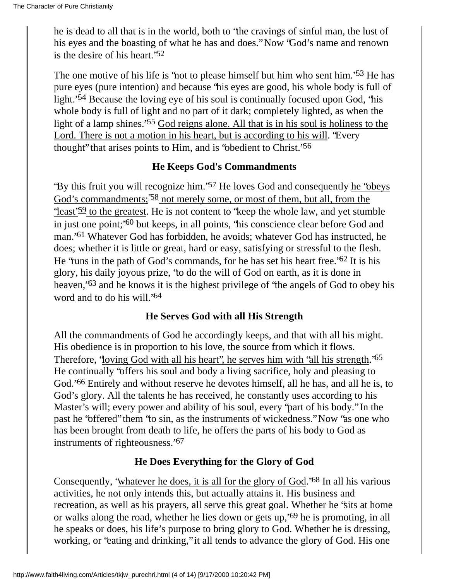he is dead to all that is in the world, both to "the cravings of sinful man, the lust of his eyes and the boasting of what he has and does." Now "God's name and renown is the desire of his heart.<sup>'52</sup>

The one motive of his life is 'not to please himself but him who sent him.'<sup>53</sup> He has pure eyes (pure intention) and because "his eyes are good, his whole body is full of light."54 Because the loving eye of his soul is continually focused upon God, "his whole body is full of light and no part of it dark; completely lighted, as when the light of a lamp shines."55 God reigns alone. All that is in his soul is holiness to the Lord. There is not a motion in his heart, but is according to his will. "Every thought" that arises points to Him, and is "obedient to Christ."56

## **He Keeps God's Commandments**

"By this fruit you will recognize him."57 He loves God and consequently he "obeys God's commandments;  $\frac{38}{58}$  not merely some, or most of them, but all, from the "least"<sup>59</sup> to the greatest. He is not content to "keep the whole law, and yet stumble" in just one point;"60 but keeps, in all points, "his conscience clear before God and man."61 Whatever God has forbidden, he avoids; whatever God has instructed, he does; whether it is little or great, hard or easy, satisfying or stressful to the flesh. He "runs in the path of God's commands, for he has set his heart free."62 It is his glory, his daily joyous prize, "to do the will of God on earth, as it is done in heaven,"63 and he knows it is the highest privilege of "the angels of God to obey his word and to do his will."64

### **He Serves God with all His Strength**

All the commandments of God he accordingly keeps, and that with all his might. His obedience is in proportion to his love, the source from which it flows. Therefore, 'loving God with all his heart', he serves him with 'all his strength.'<sup>65</sup> He continually "offers his soul and body a living sacrifice, holy and pleasing to God."66 Entirely and without reserve he devotes himself, all he has, and all he is, to God's glory. All the talents he has received, he constantly uses according to his Master's will; every power and ability of his soul, every "part of his body." In the past he "offered" them "to sin, as the instruments of wickedness." Now "as one who has been brought from death to life, he offers the parts of his body to God as instruments of righteousness."67

### **He Does Everything for the Glory of God**

Consequently, "whatever he does, it is all for the glory of God."68 In all his various activities, he not only intends this, but actually attains it. His business and recreation, as well as his prayers, all serve this great goal. Whether he "sits at home or walks along the road, whether he lies down or gets up,"69 he is promoting, in all he speaks or does, his life's purpose to bring glory to God. Whether he is dressing, working, or "eating and drinking," it all tends to advance the glory of God. His one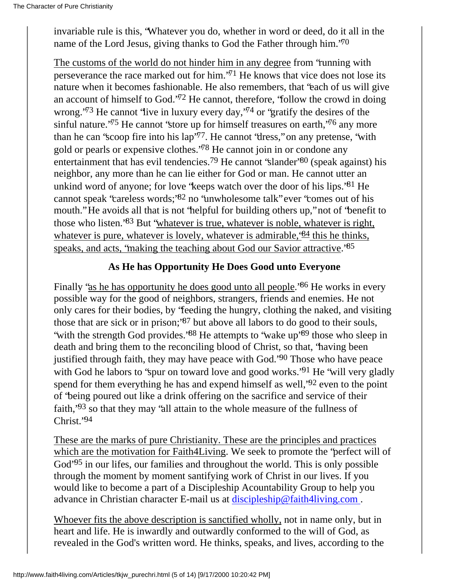invariable rule is this, "Whatever you do, whether in word or deed, do it all in the name of the Lord Jesus, giving thanks to God the Father through him."70

The customs of the world do not hinder him in any degree from "running with perseverance the race marked out for him."71 He knows that vice does not lose its nature when it becomes fashionable. He also remembers, that "each of us will give an account of himself to God."72 He cannot, therefore, "follow the crowd in doing wrong.<sup> $73$ </sup> He cannot 'live in luxury every day,<sup> $74$ </sup> or 'gratify the desires of the sinful nature.<sup> $75$ </sup> He cannot 'store up for himself treasures on earth,  $76$  any more than he can 'scoop fire into his  $\text{lap'}^{\gamma}$ . He cannot 'dress," on any pretense, 'with gold or pearls or expensive clothes."78 He cannot join in or condone any entertainment that has evil tendencies.<sup>79</sup> He cannot 'slander'<sup>80</sup> (speak against) his neighbor, any more than he can lie either for God or man. He cannot utter an unkind word of anyone; for love "keeps watch over the door of his lips."81 He cannot speak "careless words;"82 no "unwholesome talk" ever "comes out of his mouth." He avoids all that is not "helpful for building others up," not of "benefit to those who listen."83 But "whatever is true, whatever is noble, whatever is right, whatever is pure, whatever is lovely, whatever is admirable,  $\frac{84}{10}$  this he thinks, speaks, and acts, 'making the teaching about God our Savior attractive.'<sup>85</sup>

### **As He has Opportunity He Does Good unto Everyone**

Finally "as he has opportunity he does good unto all people.<sup>86</sup> He works in every possible way for the good of neighbors, strangers, friends and enemies. He not only cares for their bodies, by "feeding the hungry, clothing the naked, and visiting those that are sick or in prison;"87 but above all labors to do good to their souls, 'with the strength God provides.'88 He attempts to 'wake up'89 those who sleep in death and bring them to the reconciling blood of Christ, so that, "having been justified through faith, they may have peace with God."90 Those who have peace with God he labors to 'spur on toward love and good works.'<sup>91</sup> He 'will very gladly spend for them everything he has and expend himself as well,<sup>192</sup> even to the point of "being poured out like a drink offering on the sacrifice and service of their faith,"93 so that they may "all attain to the whole measure of the fullness of Christ<sup>'94</sup>

These are the marks of pure Christianity. These are the principles and practices which are the motivation for Faith4Living. We seek to promote the "perfect will of God<sup>-95</sup> in our lifes, our families and throughout the world. This is only possible through the moment by moment santifying work of Christ in our lives. If you would like to become a part of a Discipleship Acountability Group to help you advance in Christian character E-mail us at [discipleship@faith4living.com](mailto:discipleship@faith4living.com) .

Whoever fits the above description is sanctified wholly, not in name only, but in heart and life. He is inwardly and outwardly conformed to the will of God, as revealed in the God's written word. He thinks, speaks, and lives, according to the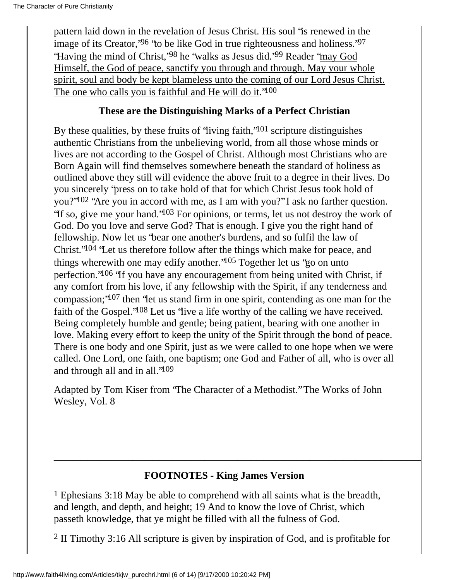pattern laid down in the revelation of Jesus Christ. His soul "is renewed in the image of its Creator,<sup>'96</sup> 'to be like God in true righteousness and holiness.'<sup>97</sup> "Having the mind of Christ,"98 he "walks as Jesus did."99 Reader "may God Himself, the God of peace, sanctify you through and through. May your whole spirit, soul and body be kept blameless unto the coming of our Lord Jesus Christ. The one who calls you is faithful and He will do it."<sup>100</sup>

#### **These are the Distinguishing Marks of a Perfect Christian**

By these qualities, by these fruits of 'living faith,' $101$  scripture distinguishes authentic Christians from the unbelieving world, from all those whose minds or lives are not according to the Gospel of Christ. Although most Christians who are Born Again will find themselves somewhere beneath the standard of holiness as outlined above they still will evidence the above fruit to a degree in their lives. Do you sincerely "press on to take hold of that for which Christ Jesus took hold of you?"102 "Are you in accord with me, as I am with you?" I ask no farther question. "If so, give me your hand."103 For opinions, or terms, let us not destroy the work of God. Do you love and serve God? That is enough. I give you the right hand of fellowship. Now let us "bear one another's burdens, and so fulfil the law of Christ."104 "Let us therefore follow after the things which make for peace, and things wherewith one may edify another."105 Together let us "go on unto perfection."106 "If you have any encouragement from being united with Christ, if any comfort from his love, if any fellowship with the Spirit, if any tenderness and compassion;"107 then "let us stand firm in one spirit, contending as one man for the faith of the Gospel."108 Let us "live a life worthy of the calling we have received. Being completely humble and gentle; being patient, bearing with one another in love. Making every effort to keep the unity of the Spirit through the bond of peace. There is one body and one Spirit, just as we were called to one hope when we were called. One Lord, one faith, one baptism; one God and Father of all, who is over all and through all and in all."109

Adapted by Tom Kiser from "The Character of a Methodist." The Works of John Wesley, Vol. 8

## **FOOTNOTES - King James Version**

**\_\_\_\_\_\_\_\_\_\_\_\_\_\_\_\_\_\_\_\_\_\_\_\_\_\_\_\_\_\_\_\_\_\_\_\_\_\_\_\_\_\_\_\_\_\_\_\_\_\_\_\_\_\_\_\_**

1 Ephesians 3:18 May be able to comprehend with all saints what is the breadth, and length, and depth, and height; 19 And to know the love of Christ, which passeth knowledge, that ye might be filled with all the fulness of God.

2 II Timothy 3:16 All scripture is given by inspiration of God, and is profitable for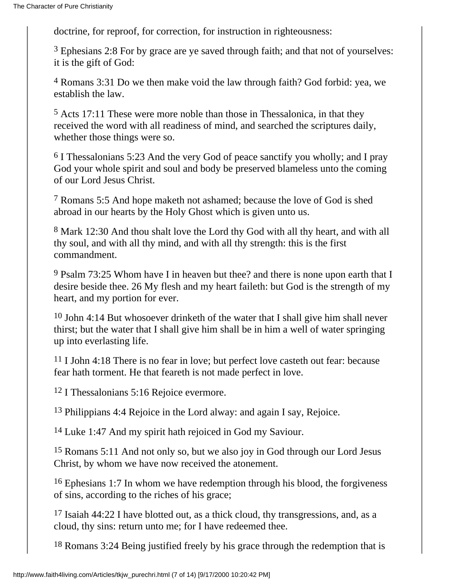doctrine, for reproof, for correction, for instruction in righteousness:

3 Ephesians 2:8 For by grace are ye saved through faith; and that not of yourselves: it is the gift of God:

4 Romans 3:31 Do we then make void the law through faith? God forbid: yea, we establish the law.

5 Acts 17:11 These were more noble than those in Thessalonica, in that they received the word with all readiness of mind, and searched the scriptures daily, whether those things were so.

6 I Thessalonians 5:23 And the very God of peace sanctify you wholly; and I pray God your whole spirit and soul and body be preserved blameless unto the coming of our Lord Jesus Christ.

7 Romans 5:5 And hope maketh not ashamed; because the love of God is shed abroad in our hearts by the Holy Ghost which is given unto us.

8 Mark 12:30 And thou shalt love the Lord thy God with all thy heart, and with all thy soul, and with all thy mind, and with all thy strength: this is the first commandment.

9 Psalm 73:25 Whom have I in heaven but thee? and there is none upon earth that I desire beside thee. 26 My flesh and my heart faileth: but God is the strength of my heart, and my portion for ever.

10 John 4:14 But whosoever drinketh of the water that I shall give him shall never thirst; but the water that I shall give him shall be in him a well of water springing up into everlasting life.

11 I John 4:18 There is no fear in love; but perfect love casteth out fear: because fear hath torment. He that feareth is not made perfect in love.

12 I Thessalonians 5:16 Rejoice evermore.

13 Philippians 4:4 Rejoice in the Lord alway: and again I say, Rejoice.

14 Luke 1:47 And my spirit hath rejoiced in God my Saviour.

15 Romans 5:11 And not only so, but we also joy in God through our Lord Jesus Christ, by whom we have now received the atonement.

16 Ephesians 1:7 In whom we have redemption through his blood, the forgiveness of sins, according to the riches of his grace;

17 Isaiah 44:22 I have blotted out, as a thick cloud, thy transgressions, and, as a cloud, thy sins: return unto me; for I have redeemed thee.

18 Romans 3:24 Being justified freely by his grace through the redemption that is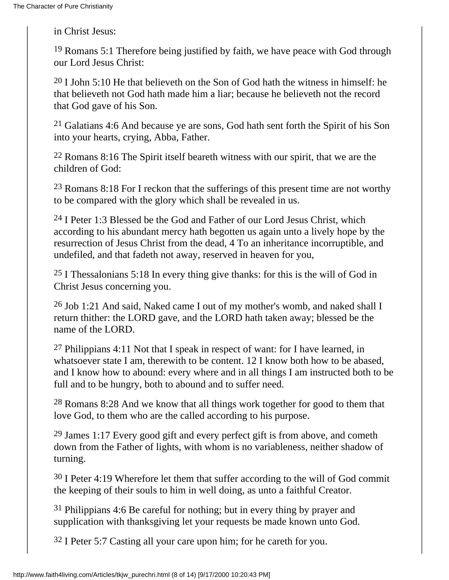in Christ Jesus:

19 Romans 5:1 Therefore being justified by faith, we have peace with God through our Lord Jesus Christ:

 $20$  I John 5:10 He that believeth on the Son of God hath the witness in himself: he that believeth not God hath made him a liar; because he believeth not the record that God gave of his Son.

<sup>21</sup> Galatians 4:6 And because ye are sons, God hath sent forth the Spirit of his Son into your hearts, crying, Abba, Father.

22 Romans 8:16 The Spirit itself beareth witness with our spirit, that we are the children of God:

23 Romans 8:18 For I reckon that the sufferings of this present time are not worthy to be compared with the glory which shall be revealed in us.

24 I Peter 1:3 Blessed be the God and Father of our Lord Jesus Christ, which according to his abundant mercy hath begotten us again unto a lively hope by the resurrection of Jesus Christ from the dead, 4 To an inheritance incorruptible, and undefiled, and that fadeth not away, reserved in heaven for you,

25 I Thessalonians 5:18 In every thing give thanks: for this is the will of God in Christ Jesus concerning you.

26 Job 1:21 And said, Naked came I out of my mother's womb, and naked shall I return thither: the LORD gave, and the LORD hath taken away; blessed be the name of the LORD.

<sup>27</sup> Philippians 4:11 Not that I speak in respect of want: for I have learned, in whatsoever state I am, therewith to be content. 12 I know both how to be abased, and I know how to abound: every where and in all things I am instructed both to be full and to be hungry, both to abound and to suffer need.

28 Romans 8:28 And we know that all things work together for good to them that love God, to them who are the called according to his purpose.

 $29$  James 1:17 Every good gift and every perfect gift is from above, and cometh down from the Father of lights, with whom is no variableness, neither shadow of turning.

 $30$  I Peter 4:19 Wherefore let them that suffer according to the will of God commit the keeping of their souls to him in well doing, as unto a faithful Creator.

31 Philippians 4:6 Be careful for nothing; but in every thing by prayer and supplication with thanksgiving let your requests be made known unto God.

32 I Peter 5:7 Casting all your care upon him; for he careth for you.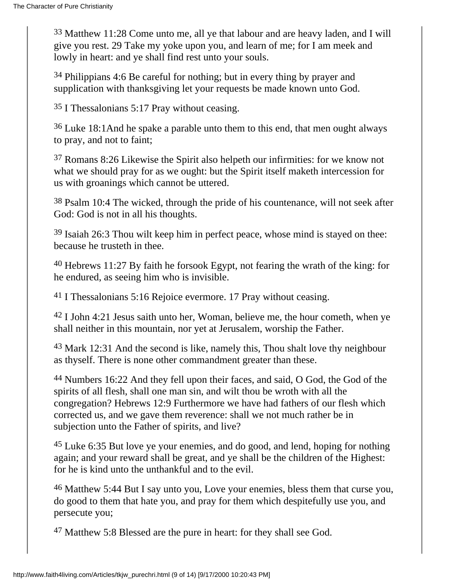33 Matthew 11:28 Come unto me, all ye that labour and are heavy laden, and I will give you rest. 29 Take my yoke upon you, and learn of me; for I am meek and lowly in heart: and ye shall find rest unto your souls.

34 Philippians 4:6 Be careful for nothing; but in every thing by prayer and supplication with thanksgiving let your requests be made known unto God.

35 I Thessalonians 5:17 Pray without ceasing.

36 Luke 18:1And he spake a parable unto them to this end, that men ought always to pray, and not to faint;

37 Romans 8:26 Likewise the Spirit also helpeth our infirmities: for we know not what we should pray for as we ought: but the Spirit itself maketh intercession for us with groanings which cannot be uttered.

38 Psalm 10:4 The wicked, through the pride of his countenance, will not seek after God: God is not in all his thoughts.

39 Isaiah 26:3 Thou wilt keep him in perfect peace, whose mind is stayed on thee: because he trusteth in thee.

40 Hebrews 11:27 By faith he forsook Egypt, not fearing the wrath of the king: for he endured, as seeing him who is invisible.

41 I Thessalonians 5:16 Rejoice evermore. 17 Pray without ceasing.

42 I John 4:21 Jesus saith unto her, Woman, believe me, the hour cometh, when ye shall neither in this mountain, nor yet at Jerusalem, worship the Father.

43 Mark 12:31 And the second is like, namely this, Thou shalt love thy neighbour as thyself. There is none other commandment greater than these.

44 Numbers 16:22 And they fell upon their faces, and said, O God, the God of the spirits of all flesh, shall one man sin, and wilt thou be wroth with all the congregation? Hebrews 12:9 Furthermore we have had fathers of our flesh which corrected us, and we gave them reverence: shall we not much rather be in subjection unto the Father of spirits, and live?

45 Luke 6:35 But love ye your enemies, and do good, and lend, hoping for nothing again; and your reward shall be great, and ye shall be the children of the Highest: for he is kind unto the unthankful and to the evil.

<sup>46</sup> Matthew 5:44 But I say unto you, Love your enemies, bless them that curse you, do good to them that hate you, and pray for them which despitefully use you, and persecute you;

47 Matthew 5:8 Blessed are the pure in heart: for they shall see God.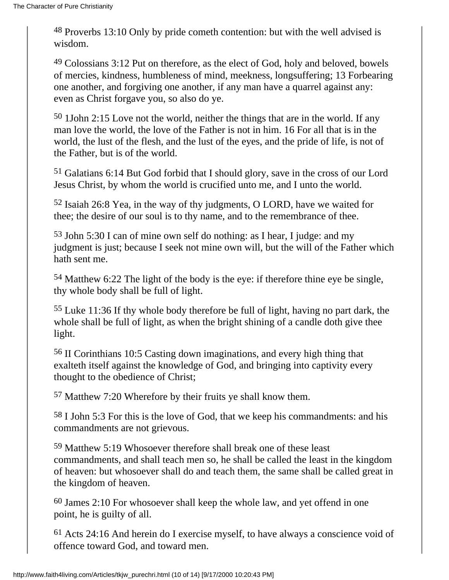48 Proverbs 13:10 Only by pride cometh contention: but with the well advised is wisdom.

49 Colossians 3:12 Put on therefore, as the elect of God, holy and beloved, bowels of mercies, kindness, humbleness of mind, meekness, longsuffering; 13 Forbearing one another, and forgiving one another, if any man have a quarrel against any: even as Christ forgave you, so also do ye.

50 1John 2:15 Love not the world, neither the things that are in the world. If any man love the world, the love of the Father is not in him. 16 For all that is in the world, the lust of the flesh, and the lust of the eyes, and the pride of life, is not of the Father, but is of the world.

51 Galatians 6:14 But God forbid that I should glory, save in the cross of our Lord Jesus Christ, by whom the world is crucified unto me, and I unto the world.

52 Isaiah 26:8 Yea, in the way of thy judgments, O LORD, have we waited for thee; the desire of our soul is to thy name, and to the remembrance of thee.

53 John 5:30 I can of mine own self do nothing: as I hear, I judge: and my judgment is just; because I seek not mine own will, but the will of the Father which hath sent me.

54 Matthew 6:22 The light of the body is the eye: if therefore thine eye be single, thy whole body shall be full of light.

55 Luke 11:36 If thy whole body therefore be full of light, having no part dark, the whole shall be full of light, as when the bright shining of a candle doth give thee light.

56 II Corinthians 10:5 Casting down imaginations, and every high thing that exalteth itself against the knowledge of God, and bringing into captivity every thought to the obedience of Christ;

57 Matthew 7:20 Wherefore by their fruits ye shall know them.

58 I John 5:3 For this is the love of God, that we keep his commandments: and his commandments are not grievous.

59 Matthew 5:19 Whosoever therefore shall break one of these least commandments, and shall teach men so, he shall be called the least in the kingdom of heaven: but whosoever shall do and teach them, the same shall be called great in the kingdom of heaven.

60 James 2:10 For whosoever shall keep the whole law, and yet offend in one point, he is guilty of all.

61 Acts 24:16 And herein do I exercise myself, to have always a conscience void of offence toward God, and toward men.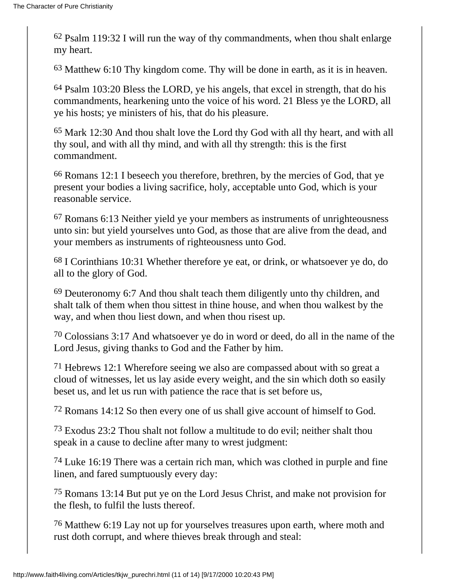62 Psalm 119:32 I will run the way of thy commandments, when thou shalt enlarge my heart.

63 Matthew 6:10 Thy kingdom come. Thy will be done in earth, as it is in heaven.

64 Psalm 103:20 Bless the LORD, ye his angels, that excel in strength, that do his commandments, hearkening unto the voice of his word. 21 Bless ye the LORD, all ye his hosts; ye ministers of his, that do his pleasure.

65 Mark 12:30 And thou shalt love the Lord thy God with all thy heart, and with all thy soul, and with all thy mind, and with all thy strength: this is the first commandment.

66 Romans 12:1 I beseech you therefore, brethren, by the mercies of God, that ye present your bodies a living sacrifice, holy, acceptable unto God, which is your reasonable service.

67 Romans 6:13 Neither yield ye your members as instruments of unrighteousness unto sin: but yield yourselves unto God, as those that are alive from the dead, and your members as instruments of righteousness unto God.

68 I Corinthians 10:31 Whether therefore ye eat, or drink, or whatsoever ye do, do all to the glory of God.

69 Deuteronomy 6:7 And thou shalt teach them diligently unto thy children, and shalt talk of them when thou sittest in thine house, and when thou walkest by the way, and when thou liest down, and when thou risest up.

70 Colossians 3:17 And whatsoever ye do in word or deed, do all in the name of the Lord Jesus, giving thanks to God and the Father by him.

71 Hebrews 12:1 Wherefore seeing we also are compassed about with so great a cloud of witnesses, let us lay aside every weight, and the sin which doth so easily beset us, and let us run with patience the race that is set before us,

72 Romans 14:12 So then every one of us shall give account of himself to God.

<sup>73</sup> Exodus 23:2 Thou shalt not follow a multitude to do evil; neither shalt thou speak in a cause to decline after many to wrest judgment:

74 Luke 16:19 There was a certain rich man, which was clothed in purple and fine linen, and fared sumptuously every day:

75 Romans 13:14 But put ye on the Lord Jesus Christ, and make not provision for the flesh, to fulfil the lusts thereof.

76 Matthew 6:19 Lay not up for yourselves treasures upon earth, where moth and rust doth corrupt, and where thieves break through and steal: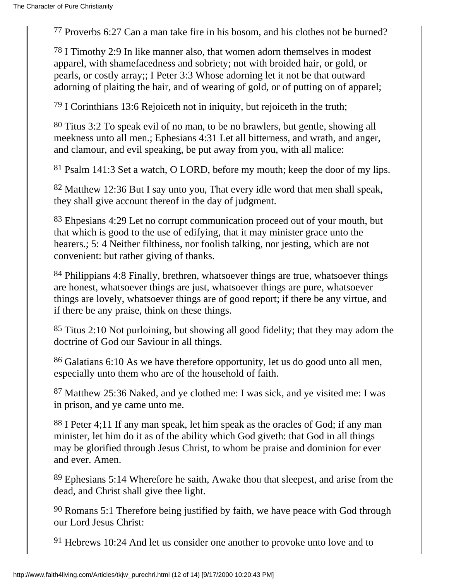77 Proverbs 6:27 Can a man take fire in his bosom, and his clothes not be burned?

78 I Timothy 2:9 In like manner also, that women adorn themselves in modest apparel, with shamefacedness and sobriety; not with broided hair, or gold, or pearls, or costly array;; I Peter 3:3 Whose adorning let it not be that outward adorning of plaiting the hair, and of wearing of gold, or of putting on of apparel;

79 I Corinthians 13:6 Rejoiceth not in iniquity, but rejoiceth in the truth;

80 Titus 3:2 To speak evil of no man, to be no brawlers, but gentle, showing all meekness unto all men.; Ephesians 4:31 Let all bitterness, and wrath, and anger, and clamour, and evil speaking, be put away from you, with all malice:

81 Psalm 141:3 Set a watch, O LORD, before my mouth; keep the door of my lips.

82 Matthew 12:36 But I say unto you, That every idle word that men shall speak, they shall give account thereof in the day of judgment.

83 Ehpesians 4:29 Let no corrupt communication proceed out of your mouth, but that which is good to the use of edifying, that it may minister grace unto the hearers.; 5: 4 Neither filthiness, nor foolish talking, nor jesting, which are not convenient: but rather giving of thanks.

84 Philippians 4:8 Finally, brethren, whatsoever things are true, whatsoever things are honest, whatsoever things are just, whatsoever things are pure, whatsoever things are lovely, whatsoever things are of good report; if there be any virtue, and if there be any praise, think on these things.

85 Titus 2:10 Not purloining, but showing all good fidelity; that they may adorn the doctrine of God our Saviour in all things.

86 Galatians 6:10 As we have therefore opportunity, let us do good unto all men, especially unto them who are of the household of faith.

87 Matthew 25:36 Naked, and ye clothed me: I was sick, and ye visited me: I was in prison, and ye came unto me.

88 I Peter 4;11 If any man speak, let him speak as the oracles of God; if any man minister, let him do it as of the ability which God giveth: that God in all things may be glorified through Jesus Christ, to whom be praise and dominion for ever and ever. Amen.

89 Ephesians 5:14 Wherefore he saith, Awake thou that sleepest, and arise from the dead, and Christ shall give thee light.

90 Romans 5:1 Therefore being justified by faith, we have peace with God through our Lord Jesus Christ:

91 Hebrews 10:24 And let us consider one another to provoke unto love and to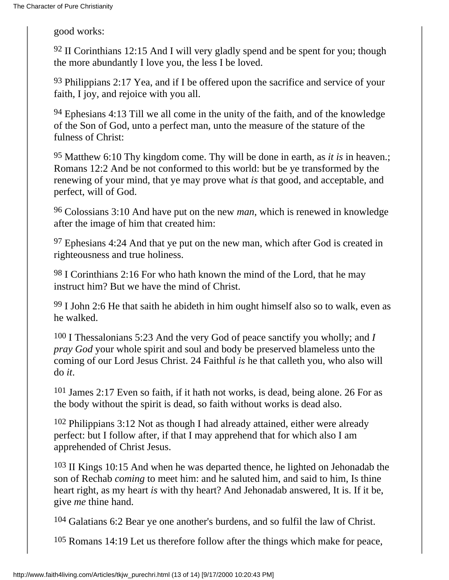good works:

 $92$  II Corinthians 12:15 And I will very gladly spend and be spent for you; though the more abundantly I love you, the less I be loved.

93 Philippians 2:17 Yea, and if I be offered upon the sacrifice and service of your faith, I joy, and rejoice with you all.

94 Ephesians 4:13 Till we all come in the unity of the faith, and of the knowledge of the Son of God, unto a perfect man, unto the measure of the stature of the fulness of Christ:

95 Matthew 6:10 Thy kingdom come. Thy will be done in earth, as *it is* in heaven.; Romans 12:2 And be not conformed to this world: but be ye transformed by the renewing of your mind, that ye may prove what *is* that good, and acceptable, and perfect, will of God.

96 Colossians 3:10 And have put on the new *man*, which is renewed in knowledge after the image of him that created him:

97 Ephesians 4:24 And that ye put on the new man, which after God is created in righteousness and true holiness.

98 I Corinthians 2:16 For who hath known the mind of the Lord, that he may instruct him? But we have the mind of Christ.

99 I John 2:6 He that saith he abideth in him ought himself also so to walk, even as he walked.

100 I Thessalonians 5:23 And the very God of peace sanctify you wholly; and *I pray God* your whole spirit and soul and body be preserved blameless unto the coming of our Lord Jesus Christ. 24 Faithful *is* he that calleth you, who also will do *it*.

101 James 2:17 Even so faith, if it hath not works, is dead, being alone. 26 For as the body without the spirit is dead, so faith without works is dead also.

<sup>102</sup> Philippians 3:12 Not as though I had already attained, either were already perfect: but I follow after, if that I may apprehend that for which also I am apprehended of Christ Jesus.

103 II Kings 10:15 And when he was departed thence, he lighted on Jehonadab the son of Rechab *coming* to meet him: and he saluted him, and said to him, Is thine heart right, as my heart *is* with thy heart? And Jehonadab answered, It is. If it be, give *me* thine hand.

104 Galatians 6:2 Bear ye one another's burdens, and so fulfil the law of Christ.

105 Romans 14:19 Let us therefore follow after the things which make for peace,